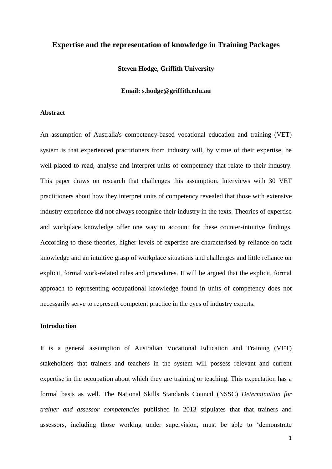## **Expertise and the representation of knowledge in Training Packages**

#### **Steven Hodge, Griffith University**

#### **Email: s.hodge@griffith.edu.au**

#### **Abstract**

An assumption of Australia's competency-based vocational education and training (VET) system is that experienced practitioners from industry will, by virtue of their expertise, be well-placed to read, analyse and interpret units of competency that relate to their industry. This paper draws on research that challenges this assumption. Interviews with 30 VET practitioners about how they interpret units of competency revealed that those with extensive industry experience did not always recognise their industry in the texts. Theories of expertise and workplace knowledge offer one way to account for these counter-intuitive findings. According to these theories, higher levels of expertise are characterised by reliance on tacit knowledge and an intuitive grasp of workplace situations and challenges and little reliance on explicit, formal work-related rules and procedures. It will be argued that the explicit, formal approach to representing occupational knowledge found in units of competency does not necessarily serve to represent competent practice in the eyes of industry experts.

# **Introduction**

It is a general assumption of Australian Vocational Education and Training (VET) stakeholders that trainers and teachers in the system will possess relevant and current expertise in the occupation about which they are training or teaching. This expectation has a formal basis as well. The National Skills Standards Council (NSSC) *Determination for trainer and assessor competencies* published in 2013 stipulates that that trainers and assessors, including those working under supervision, must be able to 'demonstrate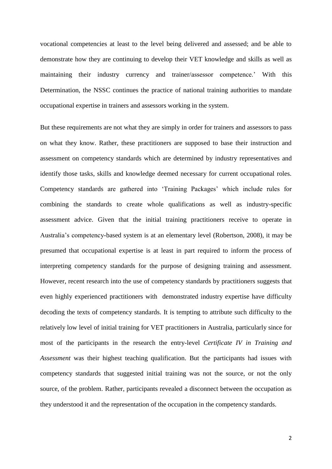vocational competencies at least to the level being delivered and assessed; and be able to demonstrate how they are continuing to develop their VET knowledge and skills as well as maintaining their industry currency and trainer/assessor competence.' With this Determination, the NSSC continues the practice of national training authorities to mandate occupational expertise in trainers and assessors working in the system.

But these requirements are not what they are simply in order for trainers and assessors to pass on what they know. Rather, these practitioners are supposed to base their instruction and assessment on competency standards which are determined by industry representatives and identify those tasks, skills and knowledge deemed necessary for current occupational roles. Competency standards are gathered into 'Training Packages' which include rules for combining the standards to create whole qualifications as well as industry-specific assessment advice. Given that the initial training practitioners receive to operate in Australia's competency-based system is at an elementary level (Robertson, 2008), it may be presumed that occupational expertise is at least in part required to inform the process of interpreting competency standards for the purpose of designing training and assessment. However, recent research into the use of competency standards by practitioners suggests that even highly experienced practitioners with demonstrated industry expertise have difficulty decoding the texts of competency standards. It is tempting to attribute such difficulty to the relatively low level of initial training for VET practitioners in Australia, particularly since for most of the participants in the research the entry-level *Certificate IV in Training and Assessment* was their highest teaching qualification. But the participants had issues with competency standards that suggested initial training was not the source, or not the only source, of the problem. Rather, participants revealed a disconnect between the occupation as they understood it and the representation of the occupation in the competency standards.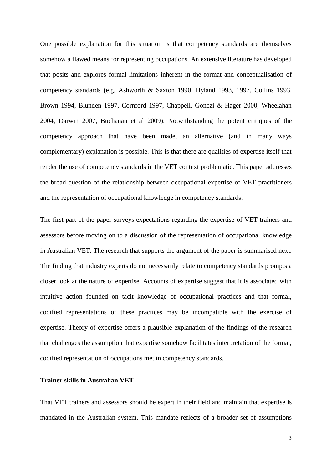One possible explanation for this situation is that competency standards are themselves somehow a flawed means for representing occupations. An extensive literature has developed that posits and explores formal limitations inherent in the format and conceptualisation of competency standards (e.g. Ashworth & Saxton 1990, Hyland 1993, 1997, Collins 1993, Brown 1994, Blunden 1997, Cornford 1997, Chappell, Gonczi & Hager 2000, Wheelahan 2004, Darwin 2007, Buchanan et al 2009). Notwithstanding the potent critiques of the competency approach that have been made, an alternative (and in many ways complementary) explanation is possible. This is that there are qualities of expertise itself that render the use of competency standards in the VET context problematic. This paper addresses the broad question of the relationship between occupational expertise of VET practitioners and the representation of occupational knowledge in competency standards.

The first part of the paper surveys expectations regarding the expertise of VET trainers and assessors before moving on to a discussion of the representation of occupational knowledge in Australian VET. The research that supports the argument of the paper is summarised next. The finding that industry experts do not necessarily relate to competency standards prompts a closer look at the nature of expertise. Accounts of expertise suggest that it is associated with intuitive action founded on tacit knowledge of occupational practices and that formal, codified representations of these practices may be incompatible with the exercise of expertise. Theory of expertise offers a plausible explanation of the findings of the research that challenges the assumption that expertise somehow facilitates interpretation of the formal, codified representation of occupations met in competency standards.

## **Trainer skills in Australian VET**

That VET trainers and assessors should be expert in their field and maintain that expertise is mandated in the Australian system. This mandate reflects of a broader set of assumptions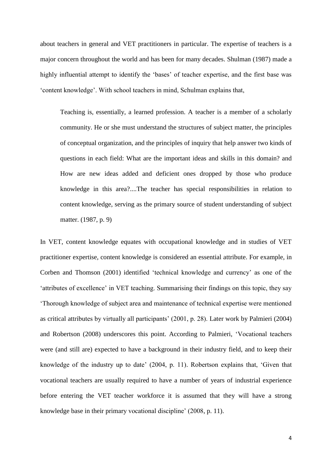about teachers in general and VET practitioners in particular. The expertise of teachers is a major concern throughout the world and has been for many decades. Shulman (1987) made a highly influential attempt to identify the 'bases' of teacher expertise, and the first base was 'content knowledge'. With school teachers in mind, Schulman explains that,

Teaching is, essentially, a learned profession. A teacher is a member of a scholarly community. He or she must understand the structures of subject matter, the principles of conceptual organization, and the principles of inquiry that help answer two kinds of questions in each field: What are the important ideas and skills in this domain? and How are new ideas added and deficient ones dropped by those who produce knowledge in this area?....The teacher has special responsibilities in relation to content knowledge, serving as the primary source of student understanding of subject matter. (1987, p. 9)

In VET, content knowledge equates with occupational knowledge and in studies of VET practitioner expertise, content knowledge is considered an essential attribute. For example, in Corben and Thomson (2001) identified 'technical knowledge and currency' as one of the 'attributes of excellence' in VET teaching. Summarising their findings on this topic, they say 'Thorough knowledge of subject area and maintenance of technical expertise were mentioned as critical attributes by virtually all participants' (2001, p. 28). Later work by Palmieri (2004) and Robertson (2008) underscores this point. According to Palmieri, 'Vocational teachers were (and still are) expected to have a background in their industry field, and to keep their knowledge of the industry up to date' (2004, p. 11). Robertson explains that, 'Given that vocational teachers are usually required to have a number of years of industrial experience before entering the VET teacher workforce it is assumed that they will have a strong knowledge base in their primary vocational discipline' (2008, p. 11).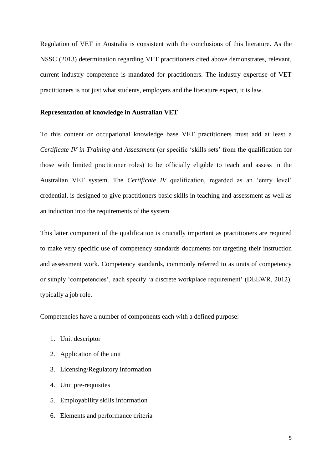Regulation of VET in Australia is consistent with the conclusions of this literature. As the NSSC (2013) determination regarding VET practitioners cited above demonstrates, relevant, current industry competence is mandated for practitioners. The industry expertise of VET practitioners is not just what students, employers and the literature expect, it is law.

## **Representation of knowledge in Australian VET**

To this content or occupational knowledge base VET practitioners must add at least a *Certificate IV in Training and Assessment* (or specific 'skills sets' from the qualification for those with limited practitioner roles) to be officially eligible to teach and assess in the Australian VET system. The *Certificate IV* qualification, regarded as an 'entry level' credential, is designed to give practitioners basic skills in teaching and assessment as well as an induction into the requirements of the system.

This latter component of the qualification is crucially important as practitioners are required to make very specific use of competency standards documents for targeting their instruction and assessment work. Competency standards, commonly referred to as units of competency or simply 'competencies', each specify 'a discrete workplace requirement' (DEEWR, 2012), typically a job role.

Competencies have a number of components each with a defined purpose:

- 1. Unit descriptor
- 2. Application of the unit
- 3. Licensing/Regulatory information
- 4. Unit pre-requisites
- 5. Employability skills information
- 6. Elements and performance criteria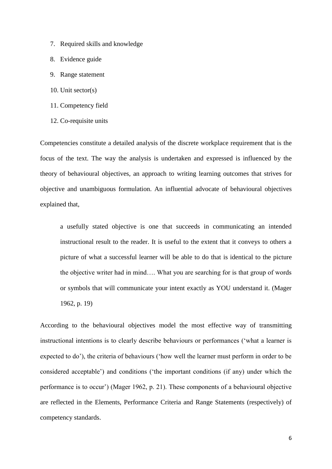- 7. Required skills and knowledge
- 8. Evidence guide
- 9. Range statement
- 10. Unit sector(s)
- 11. Competency field
- 12. Co-requisite units

Competencies constitute a detailed analysis of the discrete workplace requirement that is the focus of the text. The way the analysis is undertaken and expressed is influenced by the theory of behavioural objectives, an approach to writing learning outcomes that strives for objective and unambiguous formulation. An influential advocate of behavioural objectives explained that,

a usefully stated objective is one that succeeds in communicating an intended instructional result to the reader. It is useful to the extent that it conveys to others a picture of what a successful learner will be able to do that is identical to the picture the objective writer had in mind…. What you are searching for is that group of words or symbols that will communicate your intent exactly as YOU understand it. (Mager 1962, p. 19)

According to the behavioural objectives model the most effective way of transmitting instructional intentions is to clearly describe behaviours or performances ('what a learner is expected to do'), the criteria of behaviours ('how well the learner must perform in order to be considered acceptable') and conditions ('the important conditions (if any) under which the performance is to occur') (Mager 1962, p. 21). These components of a behavioural objective are reflected in the Elements, Performance Criteria and Range Statements (respectively) of competency standards.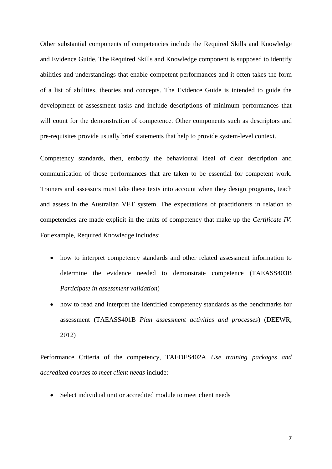Other substantial components of competencies include the Required Skills and Knowledge and Evidence Guide. The Required Skills and Knowledge component is supposed to identify abilities and understandings that enable competent performances and it often takes the form of a list of abilities, theories and concepts. The Evidence Guide is intended to guide the development of assessment tasks and include descriptions of minimum performances that will count for the demonstration of competence. Other components such as descriptors and pre-requisites provide usually brief statements that help to provide system-level context.

Competency standards, then, embody the behavioural ideal of clear description and communication of those performances that are taken to be essential for competent work. Trainers and assessors must take these texts into account when they design programs, teach and assess in the Australian VET system. The expectations of practitioners in relation to competencies are made explicit in the units of competency that make up the *Certificate IV*. For example, Required Knowledge includes:

- how to interpret competency standards and other related assessment information to determine the evidence needed to demonstrate competence (TAEASS403B *Participate in assessment validation*)
- how to read and interpret the identified competency standards as the benchmarks for assessment (TAEASS401B *Plan assessment activities and processes*) (DEEWR, 2012)

Performance Criteria of the competency, TAEDES402A *Use training packages and accredited courses to meet client needs* include:

• Select individual unit or accredited module to meet client needs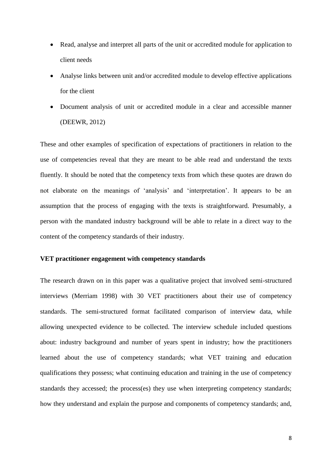- Read, analyse and interpret all parts of the unit or accredited module for application to client needs
- Analyse links between unit and/or accredited module to develop effective applications for the client
- Document analysis of unit or accredited module in a clear and accessible manner (DEEWR, 2012)

These and other examples of specification of expectations of practitioners in relation to the use of competencies reveal that they are meant to be able read and understand the texts fluently. It should be noted that the competency texts from which these quotes are drawn do not elaborate on the meanings of 'analysis' and 'interpretation'. It appears to be an assumption that the process of engaging with the texts is straightforward. Presumably, a person with the mandated industry background will be able to relate in a direct way to the content of the competency standards of their industry.

# **VET practitioner engagement with competency standards**

The research drawn on in this paper was a qualitative project that involved semi-structured interviews (Merriam 1998) with 30 VET practitioners about their use of competency standards. The semi-structured format facilitated comparison of interview data, while allowing unexpected evidence to be collected. The interview schedule included questions about: industry background and number of years spent in industry; how the practitioners learned about the use of competency standards; what VET training and education qualifications they possess; what continuing education and training in the use of competency standards they accessed; the process(es) they use when interpreting competency standards; how they understand and explain the purpose and components of competency standards; and,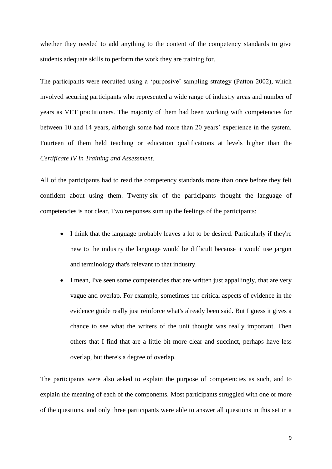whether they needed to add anything to the content of the competency standards to give students adequate skills to perform the work they are training for.

The participants were recruited using a 'purposive' sampling strategy (Patton 2002), which involved securing participants who represented a wide range of industry areas and number of years as VET practitioners. The majority of them had been working with competencies for between 10 and 14 years, although some had more than 20 years' experience in the system. Fourteen of them held teaching or education qualifications at levels higher than the *Certificate IV in Training and Assessment*.

All of the participants had to read the competency standards more than once before they felt confident about using them. Twenty-six of the participants thought the language of competencies is not clear. Two responses sum up the feelings of the participants:

- I think that the language probably leaves a lot to be desired. Particularly if they're new to the industry the language would be difficult because it would use jargon and terminology that's relevant to that industry.
- I mean, I've seen some competencies that are written just appallingly, that are very vague and overlap. For example, sometimes the critical aspects of evidence in the evidence guide really just reinforce what's already been said. But I guess it gives a chance to see what the writers of the unit thought was really important. Then others that I find that are a little bit more clear and succinct, perhaps have less overlap, but there's a degree of overlap.

The participants were also asked to explain the purpose of competencies as such, and to explain the meaning of each of the components. Most participants struggled with one or more of the questions, and only three participants were able to answer all questions in this set in a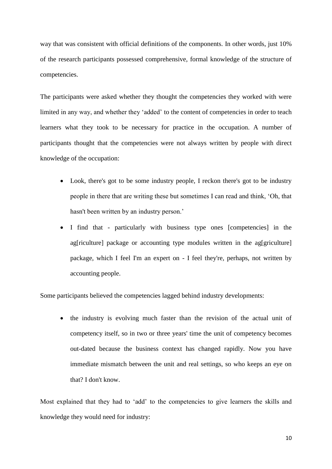way that was consistent with official definitions of the components. In other words, just 10% of the research participants possessed comprehensive, formal knowledge of the structure of competencies.

The participants were asked whether they thought the competencies they worked with were limited in any way, and whether they 'added' to the content of competencies in order to teach learners what they took to be necessary for practice in the occupation. A number of participants thought that the competencies were not always written by people with direct knowledge of the occupation:

- Look, there's got to be some industry people, I reckon there's got to be industry people in there that are writing these but sometimes I can read and think, 'Oh, that hasn't been written by an industry person.'
- I find that particularly with business type ones [competencies] in the ag[riculture] package or accounting type modules written in the ag[griculture] package, which I feel I'm an expert on - I feel they're, perhaps, not written by accounting people.

Some participants believed the competencies lagged behind industry developments:

• the industry is evolving much faster than the revision of the actual unit of competency itself, so in two or three years' time the unit of competency becomes out-dated because the business context has changed rapidly. Now you have immediate mismatch between the unit and real settings, so who keeps an eye on that? I don't know.

Most explained that they had to 'add' to the competencies to give learners the skills and knowledge they would need for industry: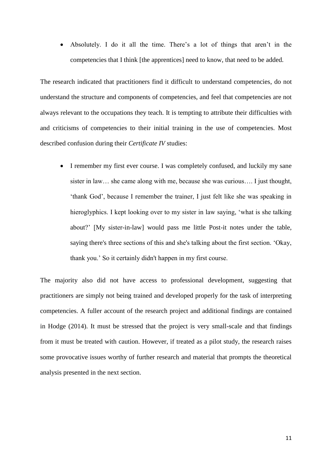Absolutely. I do it all the time. There's a lot of things that aren't in the competencies that I think [the apprentices] need to know, that need to be added.

The research indicated that practitioners find it difficult to understand competencies, do not understand the structure and components of competencies, and feel that competencies are not always relevant to the occupations they teach. It is tempting to attribute their difficulties with and criticisms of competencies to their initial training in the use of competencies. Most described confusion during their *Certificate IV* studies:

• I remember my first ever course. I was completely confused, and luckily my sane sister in law… she came along with me, because she was curious…. I just thought, 'thank God', because I remember the trainer, I just felt like she was speaking in hieroglyphics. I kept looking over to my sister in law saying, 'what is she talking about?' [My sister-in-law] would pass me little Post-it notes under the table, saying there's three sections of this and she's talking about the first section. 'Okay, thank you.' So it certainly didn't happen in my first course.

The majority also did not have access to professional development, suggesting that practitioners are simply not being trained and developed properly for the task of interpreting competencies. A fuller account of the research project and additional findings are contained in Hodge (2014). It must be stressed that the project is very small-scale and that findings from it must be treated with caution. However, if treated as a pilot study, the research raises some provocative issues worthy of further research and material that prompts the theoretical analysis presented in the next section.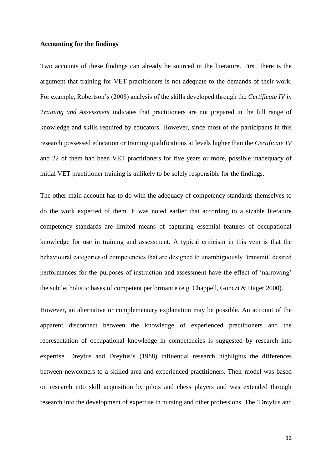## **Accounting for the findings**

Two accounts of these findings can already be sourced in the literature. First, there is the argument that training for VET practitioners is not adequate to the demands of their work. For example, Robertson's (2008) analysis of the skills developed through the *Certificate IV in Training and Assessment* indicates that practitioners are not prepared in the full range of knowledge and skills required by educators. However, since most of the participants in this research possessed education or training qualifications at levels higher than the *Certificate IV* and 22 of them had been VET practitioners for five years or more, possible inadequacy of initial VET practitioner training is unlikely to be solely responsible for the findings.

The other main account has to do with the adequacy of competency standards themselves to do the work expected of them. It was noted earlier that according to a sizable literature competency standards are limited means of capturing essential features of occupational knowledge for use in training and assessment. A typical criticism in this vein is that the behavioural categories of competencies that are designed to unambiguously 'transmit' desired performances for the purposes of instruction and assessment have the effect of 'narrowing' the subtle, holistic bases of competent performance (e.g. Chappell, Gonczi & Hager 2000).

However, an alternative or complementary explanation may be possible. An account of the apparent disconnect between the knowledge of experienced practitioners and the representation of occupational knowledge in competencies is suggested by research into expertise. Dreyfus and Dreyfus's (1988) influential research highlights the differences between newcomers to a skilled area and experienced practitioners. Their model was based on research into skill acquisition by pilots and chess players and was extended through research into the development of expertise in nursing and other professions. The 'Dreyfus and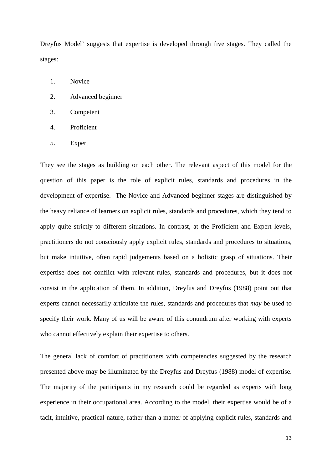Dreyfus Model' suggests that expertise is developed through five stages. They called the stages:

- 1. Novice
- 2. Advanced beginner
- 3. Competent
- 4. Proficient
- 5. Expert

They see the stages as building on each other. The relevant aspect of this model for the question of this paper is the role of explicit rules, standards and procedures in the development of expertise. The Novice and Advanced beginner stages are distinguished by the heavy reliance of learners on explicit rules, standards and procedures, which they tend to apply quite strictly to different situations. In contrast, at the Proficient and Expert levels, practitioners do not consciously apply explicit rules, standards and procedures to situations, but make intuitive, often rapid judgements based on a holistic grasp of situations. Their expertise does not conflict with relevant rules, standards and procedures, but it does not consist in the application of them. In addition, Dreyfus and Dreyfus (1988) point out that experts cannot necessarily articulate the rules, standards and procedures that *may* be used to specify their work. Many of us will be aware of this conundrum after working with experts who cannot effectively explain their expertise to others.

The general lack of comfort of practitioners with competencies suggested by the research presented above may be illuminated by the Dreyfus and Dreyfus (1988) model of expertise. The majority of the participants in my research could be regarded as experts with long experience in their occupational area. According to the model, their expertise would be of a tacit, intuitive, practical nature, rather than a matter of applying explicit rules, standards and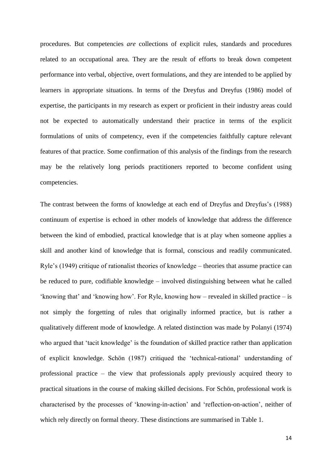procedures. But competencies *are* collections of explicit rules, standards and procedures related to an occupational area. They are the result of efforts to break down competent performance into verbal, objective, overt formulations, and they are intended to be applied by learners in appropriate situations. In terms of the Dreyfus and Dreyfus (1986) model of expertise, the participants in my research as expert or proficient in their industry areas could not be expected to automatically understand their practice in terms of the explicit formulations of units of competency, even if the competencies faithfully capture relevant features of that practice. Some confirmation of this analysis of the findings from the research may be the relatively long periods practitioners reported to become confident using competencies.

The contrast between the forms of knowledge at each end of Dreyfus and Dreyfus's (1988) continuum of expertise is echoed in other models of knowledge that address the difference between the kind of embodied, practical knowledge that is at play when someone applies a skill and another kind of knowledge that is formal, conscious and readily communicated. Ryle's (1949) critique of rationalist theories of knowledge – theories that assume practice can be reduced to pure, codifiable knowledge – involved distinguishing between what he called 'knowing that' and 'knowing how'. For Ryle, knowing how – revealed in skilled practice – is not simply the forgetting of rules that originally informed practice, but is rather a qualitatively different mode of knowledge. A related distinction was made by Polanyi (1974) who argued that 'tacit knowledge' is the foundation of skilled practice rather than application of explicit knowledge. Schön (1987) critiqued the 'technical-rational' understanding of professional practice – the view that professionals apply previously acquired theory to practical situations in the course of making skilled decisions. For Schön, professional work is characterised by the processes of 'knowing-in-action' and 'reflection-on-action', neither of which rely directly on formal theory. These distinctions are summarised in Table 1.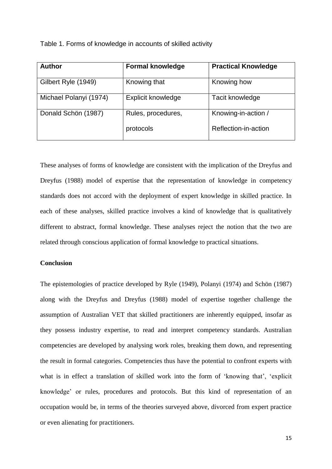Table 1. Forms of knowledge in accounts of skilled activity

| <b>Author</b>          | <b>Formal knowledge</b> | <b>Practical Knowledge</b> |
|------------------------|-------------------------|----------------------------|
| Gilbert Ryle (1949)    | Knowing that            | Knowing how                |
| Michael Polanyi (1974) | Explicit knowledge      | Tacit knowledge            |
| Donald Schön (1987)    | Rules, procedures,      | Knowing-in-action /        |
|                        | protocols               | Reflection-in-action       |

These analyses of forms of knowledge are consistent with the implication of the Dreyfus and Dreyfus (1988) model of expertise that the representation of knowledge in competency standards does not accord with the deployment of expert knowledge in skilled practice. In each of these analyses, skilled practice involves a kind of knowledge that is qualitatively different to abstract, formal knowledge. These analyses reject the notion that the two are related through conscious application of formal knowledge to practical situations.

## **Conclusion**

The epistemologies of practice developed by Ryle (1949), Polanyi (1974) and Schön (1987) along with the Dreyfus and Dreyfus (1988) model of expertise together challenge the assumption of Australian VET that skilled practitioners are inherently equipped, insofar as they possess industry expertise, to read and interpret competency standards. Australian competencies are developed by analysing work roles, breaking them down, and representing the result in formal categories. Competencies thus have the potential to confront experts with what is in effect a translation of skilled work into the form of 'knowing that', 'explicit knowledge' or rules, procedures and protocols. But this kind of representation of an occupation would be, in terms of the theories surveyed above, divorced from expert practice or even alienating for practitioners.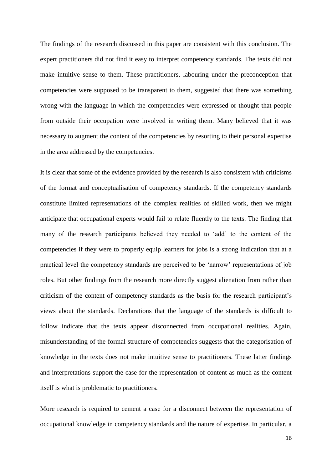The findings of the research discussed in this paper are consistent with this conclusion. The expert practitioners did not find it easy to interpret competency standards. The texts did not make intuitive sense to them. These practitioners, labouring under the preconception that competencies were supposed to be transparent to them, suggested that there was something wrong with the language in which the competencies were expressed or thought that people from outside their occupation were involved in writing them. Many believed that it was necessary to augment the content of the competencies by resorting to their personal expertise in the area addressed by the competencies.

It is clear that some of the evidence provided by the research is also consistent with criticisms of the format and conceptualisation of competency standards. If the competency standards constitute limited representations of the complex realities of skilled work, then we might anticipate that occupational experts would fail to relate fluently to the texts. The finding that many of the research participants believed they needed to 'add' to the content of the competencies if they were to properly equip learners for jobs is a strong indication that at a practical level the competency standards are perceived to be 'narrow' representations of job roles. But other findings from the research more directly suggest alienation from rather than criticism of the content of competency standards as the basis for the research participant's views about the standards. Declarations that the language of the standards is difficult to follow indicate that the texts appear disconnected from occupational realities. Again, misunderstanding of the formal structure of competencies suggests that the categorisation of knowledge in the texts does not make intuitive sense to practitioners. These latter findings and interpretations support the case for the representation of content as much as the content itself is what is problematic to practitioners.

More research is required to cement a case for a disconnect between the representation of occupational knowledge in competency standards and the nature of expertise. In particular, a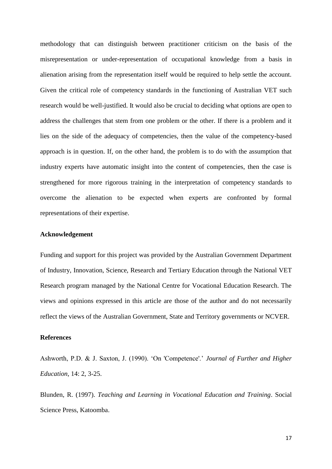methodology that can distinguish between practitioner criticism on the basis of the misrepresentation or under-representation of occupational knowledge from a basis in alienation arising from the representation itself would be required to help settle the account. Given the critical role of competency standards in the functioning of Australian VET such research would be well-justified. It would also be crucial to deciding what options are open to address the challenges that stem from one problem or the other. If there is a problem and it lies on the side of the adequacy of competencies, then the value of the competency-based approach is in question. If, on the other hand, the problem is to do with the assumption that industry experts have automatic insight into the content of competencies, then the case is strengthened for more rigorous training in the interpretation of competency standards to overcome the alienation to be expected when experts are confronted by formal representations of their expertise.

### **Acknowledgement**

Funding and support for this project was provided by the Australian Government Department of Industry, Innovation, Science, Research and Tertiary Education through the National VET Research program managed by the National Centre for Vocational Education Research. The views and opinions expressed in this article are those of the author and do not necessarily reflect the views of the Australian Government, State and Territory governments or NCVER.

## **References**

Ashworth, P.D. & J. Saxton, J. (1990). 'On 'Competence'.' *Journal of Further and Higher Education*, 14: 2, 3-25.

Blunden, R. (1997). *Teaching and Learning in Vocational Education and Training*. Social Science Press, Katoomba.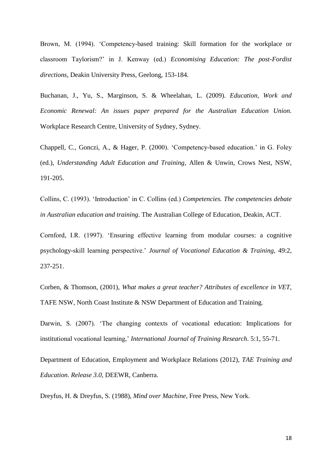Brown, M. (1994). 'Competency-based training: Skill formation for the workplace or classroom Taylorism?' in J. Kenway (ed.) *Economising Education: The post-Fordist directions*, Deakin University Press, Geelong, 153-184.

Buchanan, J., Yu, S., Marginson, S. & Wheelahan, L. (2009). *Education, Work and Economic Renewal: An issues paper prepared for the Australian Education Union.* Workplace Research Centre, University of Sydney, Sydney.

Chappell, C., Gonczi, A., & Hager, P. (2000). 'Competency-based education.' in G. Foley (ed.), *Understanding Adult Education and Training*, Allen & Unwin, Crows Nest, NSW, 191-205.

Collins, C. (1993). 'Introduction' in C. Collins (ed.) *Competencies. The competencies debate in Australian education and training*. The Australian College of Education, Deakin, ACT.

Cornford, I.R. (1997). 'Ensuring effective learning from modular courses: a cognitive psychology-skill learning perspective.' *Journal of Vocational Education & Training*, 49:2, 237-251.

Corben, & Thomson, (2001), *What makes a great teacher? Attributes of excellence in VET*, TAFE NSW, North Coast Institute & NSW Department of Education and Training.

Darwin, S. (2007). 'The changing contexts of vocational education: Implications for institutional vocational learning,' *International Journal of Training Research*. 5:1, 55-71.

Department of Education, Employment and Workplace Relations (2012), *TAE Training and Education. Release 3.0*, DEEWR, Canberra.

Dreyfus, H. & Dreyfus, S. (1988), *Mind over Machine*, Free Press, New York.

18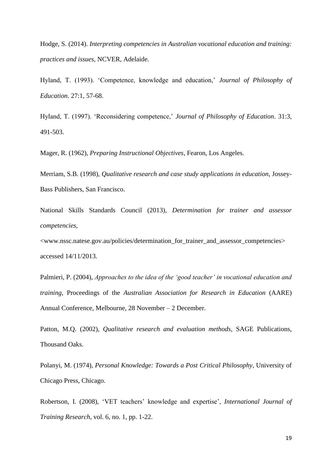Hodge, S. (2014). *Interpreting competencies in Australian vocational education and training: practices and issues*, NCVER, Adelaide.

Hyland, T. (1993). 'Competence, knowledge and education,' *Journal of Philosophy of Education*. 27:1, 57-68.

Hyland, T. (1997). 'Reconsidering competence,' *Journal of Philosophy of Education*. 31:3, 491-503.

Mager, R. (1962), *Preparing Instructional Objectives*, Fearon, Los Angeles.

Merriam, S.B. (1998), *Qualitative research and case study applications in education*, Jossey-Bass Publishers, San Francisco.

National Skills Standards Council (2013), *Determination for trainer and assessor competencies*,

<www.nssc.natese.gov.au/policies/determination\_for\_trainer\_and\_assessor\_competencies> accessed 14/11/2013.

Palmieri, P. (2004), *Approaches to the idea of the 'good teacher' in vocational education and training*, Proceedings of the *Australian Association for Research in Education* (AARE) Annual Conference, Melbourne, 28 November – 2 December.

Patton, M.Q. (2002), *Qualitative research and evaluation methods*, SAGE Publications, Thousand Oaks.

Polanyi, M. (1974), *Personal Knowledge: Towards a Post Critical Philosophy*, University of Chicago Press, Chicago.

Robertson, I. (2008), 'VET teachers' knowledge and expertise', *International Journal of Training Research*, vol. 6, no. 1, pp. 1-22.